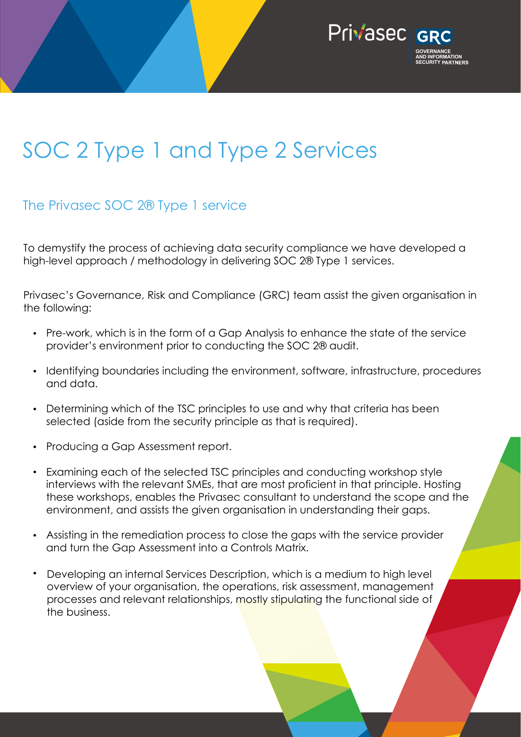

# SOC 2 Type 1 and Type 2 Services

#### The Privasec SOC 2® Type 1 service

To demystify the process of achieving data security compliance we have developed a high-level approach / methodology in delivering SOC 2® Type 1 services.

Privasec's Governance, Risk and Compliance (GRC) team assist the given organisation in the following:

- Pre-work, which is in the form of a Gap Analysis to enhance the state of the service provider's environment prior to conducting the SOC 2® audit.
- Identifying boundaries including the environment, software, infrastructure, procedures and data.
- Determining which of the TSC principles to use and why that criteria has been selected (aside from the security principle as that is required).
- Producing a Gap Assessment report.
- Examining each of the selected TSC principles and conducting workshop style interviews with the relevant SMEs, that are most proficient in that principle. Hosting these workshops, enables the Privasec consultant to understand the scope and the environment, and assists the given organisation in understanding their gaps.
- Assisting in the remediation process to close the gaps with the service provider and turn the Gap Assessment into a Controls Matrix.
- Developing an internal Services Description, which is a medium to high level overview of your organisation, the operations, risk assessment, management processes and relevant relationships, mostly stipulating the functional side of the business.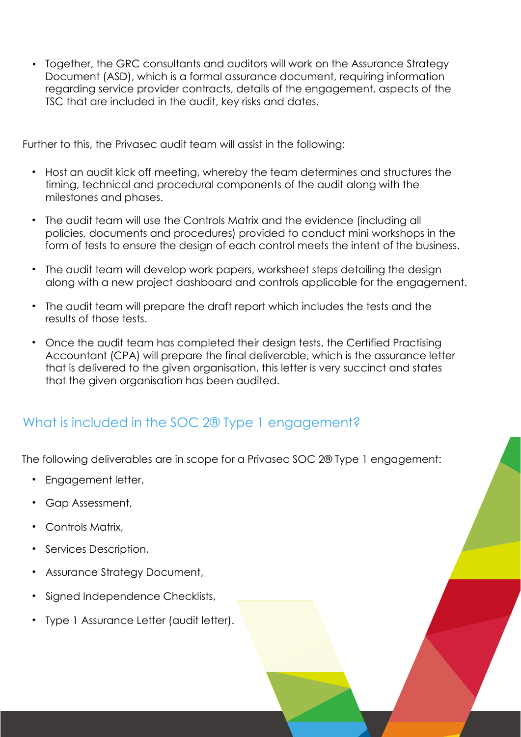• Together, the GRC consultants and auditors will work on the Assurance Strategy Document (ASD), which is a formal assurance document, requiring information regarding service provider contracts, details of the engagement, aspects of the TSC that are included in the audit, key risks and dates.

Further to this, the Privasec audit team will assist in the following:

- Host an audit kick off meeting, whereby the team determines and structures the timing, technical and procedural components of the audit along with the milestones and phases.
- The audit team will use the Controls Matrix and the evidence (including all policies, documents and procedures) provided to conduct mini workshops in the form of tests to ensure the design of each control meets the intent of the business.
- The audit team will develop work papers, worksheet steps detailing the design along with a new project dashboard and controls applicable for the engagement.
- The audit team will prepare the draft report which includes the tests and the results of those tests.
- Once the audit team has completed their design tests, the Certified Practising Accountant (CPA) will prepare the final deliverable, which is the assurance letter that is delivered to the given organisation, this letter is very succinct and states that the given organisation has been audited.

## What is included in the SOC 2<sup>®</sup> Type 1 engagement?

The following deliverables are in scope for a Privasec SOC 2® Type 1 engagement:

- Engagement letter,
- Gap Assessment,
- Controls Matrix,
- Services Description,
- Assurance Strategy Document,
- Signed Independence Checklists,
- Type 1 Assurance Letter (audit letter).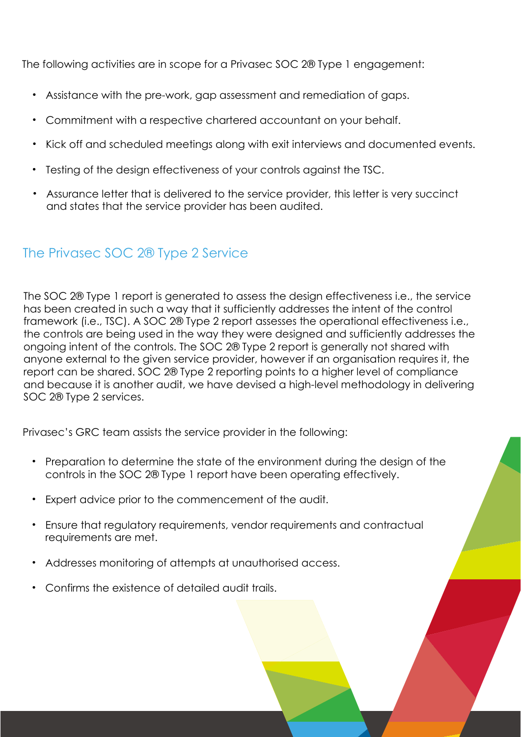The following activities are in scope for a Privasec SOC 2® Type 1 engagement:

- Assistance with the pre-work, gap assessment and remediation of gaps.
- Commitment with a respective chartered accountant on your behalf.
- Kick off and scheduled meetings along with exit interviews and documented events.
- Testing of the design effectiveness of your controls against the TSC.
- Assurance letter that is delivered to the service provider, this letter is very succinct and states that the service provider has been audited.

#### The Privasec SOC 2® Type 2 Service

The SOC 2® Type 1 report is generated to assess the design effectiveness i.e., the service has been created in such a way that it sufficiently addresses the intent of the control framework (i.e., TSC). A SOC 2® Type 2 report assesses the operational effectiveness i.e., the controls are being used in the way they were designed and sufficiently addresses the ongoing intent of the controls. The SOC 2® Type 2 report is generally not shared with anyone external to the given service provider, however if an organisation requires it, the report can be shared. SOC 2® Type 2 reporting points to a higher level of compliance and because it is another audit, we have devised a high-level methodology in delivering SOC 2® Type 2 services.

Privasec's GRC team assists the service provider in the following:

- Preparation to determine the state of the environment during the design of the controls in the SOC 2® Type 1 report have been operating effectively.
- Expert advice prior to the commencement of the audit.
- Ensure that regulatory requirements, vendor requirements and contractual requirements are met.
- Addresses monitoring of attempts at unauthorised access.
- Confirms the existence of detailed audit trails.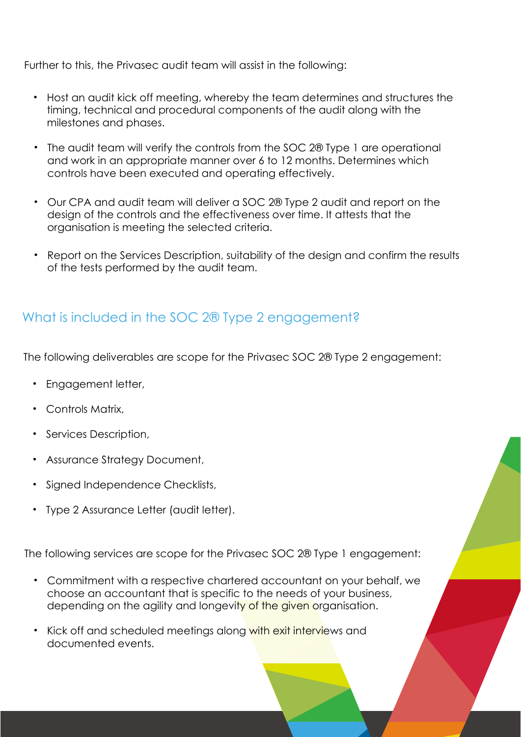Further to this, the Privasec audit team will assist in the following:

- Host an audit kick off meeting, whereby the team determines and structures the timing, technical and procedural components of the audit along with the milestones and phases.
- The audit team will verify the controls from the SOC 2® Type 1 are operational and work in an appropriate manner over 6 to 12 months. Determines which controls have been executed and operating effectively.
- Our CPA and audit team will deliver a SOC 2® Type 2 audit and report on the design of the controls and the effectiveness over time. It attests that the organisation is meeting the selected criteria.
- Report on the Services Description, suitability of the design and confirm the results of the tests performed by the audit team.

## What is included in the SOC 2® Type 2 engagement?

The following deliverables are scope for the Privasec SOC 2® Type 2 engagement:

- Engagement letter,
- Controls Matrix,
- Services Description,
- Assurance Strategy Document,
- Signed Independence Checklists,
- Type 2 Assurance Letter (audit letter).

The following services are scope for the Privasec SOC 2® Type 1 engagement:

- Commitment with a respective chartered accountant on your behalf, we choose an accountant that is specific to the needs of your business, depending on the agility and longevity of the given organisation.
- Kick off and scheduled meetings along with exit interviews and documented events.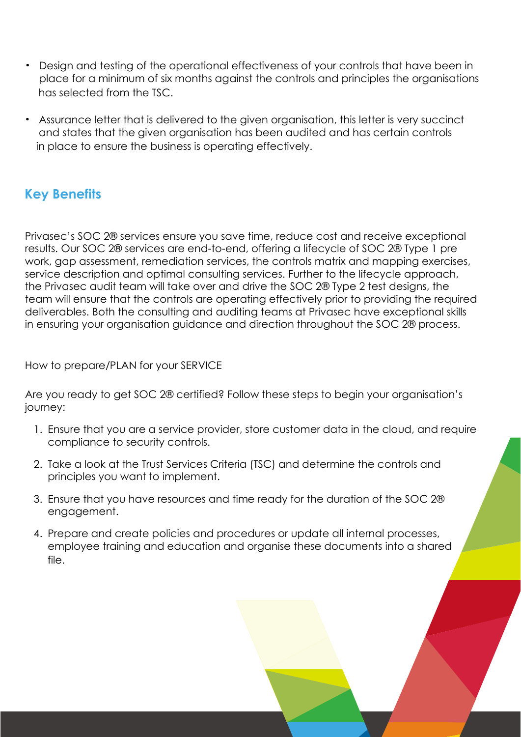- Design and testing of the operational effectiveness of your controls that have been in place for a minimum of six months against the controls and principles the organisations has selected from the TSC.
- Assurance letter that is delivered to the given organisation, this letter is very succinct and states that the given organisation has been audited and has certain controls in place to ensure the business is operating effectively.

## Key Benefits

Privasec's SOC 2® services ensure you save time, reduce cost and receive exceptional results. Our SOC 2® services are end-to-end, offering a lifecycle of SOC 2® Type 1 pre work, gap assessment, remediation services, the controls matrix and mapping exercises, service description and optimal consulting services. Further to the lifecycle approach, the Privasec audit team will take over and drive the SOC 2® Type 2 test designs, the team will ensure that the controls are operating effectively prior to providing the required deliverables. Both the consulting and auditing teams at Privasec have exceptional skills in ensuring your organisation guidance and direction throughout the SOC 2® process.

How to prepare/PLAN for your SERVICE

Are you ready to get SOC 2® certified? Follow these steps to begin your organisation's journey:

- 1. Ensure that you are a service provider, store customer data in the cloud, and require compliance to security controls.
- 2. Take a look at the Trust Services Criteria (TSC) and determine the controls and principles you want to implement.
- 3. Ensure that you have resources and time ready for the duration of the SOC 2® engagement.
- 4. Prepare and create policies and procedures or update all internal processes, employee training and education and organise these documents into a shared file.